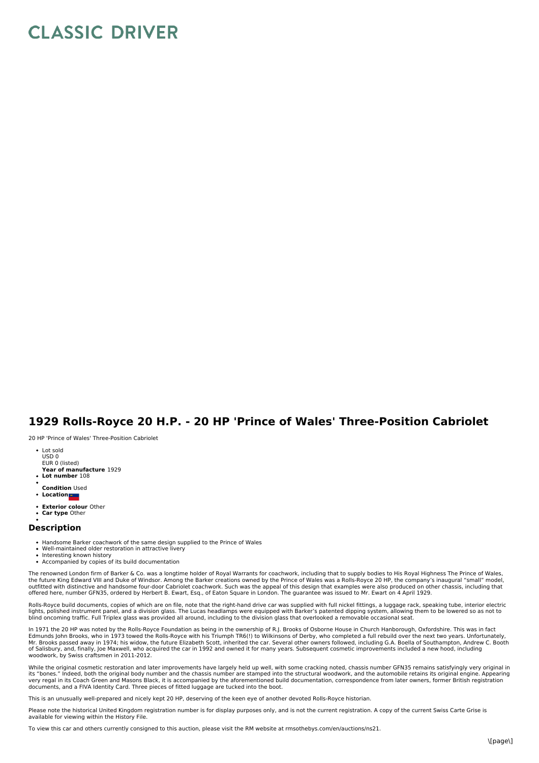## **CLASSIC DRIVER**

## **1929 Rolls-Royce 20 H.P. - 20 HP 'Prince of Wales' Three-Position Cabriolet**

20 HP 'Prince of Wales' Three-Position Cabriolet

- Lot sold USD 0 EUR 0 (listed)
- **Year of manufacture** 1929 **Lot number** 108
- 
- **Condition** Used **•** Location
- **Exterior colour** Other
- **Car type** Other

## **Description**

- Handsome Barker coachwork of the same design supplied to the Prince of Wales
- Well-maintained older restoration in attractive livery
- Interesting known history Accompanied by copies of its build documentation
- 

The renowned London firm of Barker & Co. was a longtime holder of Royal Warrants for coachwork, including that to supply bodies to His Royal Highness The Prince of Wales,<br>the future King Edward VIII and Duke of Windsor. Am outfitted with distinctive and handsome four-door Cabriolet coachwork. Such was the appeal of this design that examples were also produced on other chassis, including that offered here, number GFN35, ordered by Herbert B. Ewart, Esq., of Eaton Square in London. The guarantee was issued to Mr. Ewart on 4 April 1929.

Rolls-Royce build documents, copies of which are on file, note that the right-hand drive car was supplied with full nickel fittings, a luggage rack, speaking tube, interior electric lights, polished instrument panel, and a division glass. The Lucas headlamps were equipped with Barker's patented dipping system, allowing them to be lowered so as not to<br>blind oncoming traffic. Full Triplex glass was prov

In 1971 the 20 HP was noted by the Rolls-Royce Foundation as being in the ownership of R.J. Brooks of Osborne House in Church Hanborough, Oxfordshire. This was in fact<br>Edmunds John Brooks, who in 1973 towed the Rolls-Royce Mr. Brooks passed away in 1974; his widow, the future Elizabeth Scott, inherited the car. Several other owners followed, including G.A. Boella of Southampton, Andrew C. Booth<br>of Salisbury, and, finally, Joe Maxwell, who ac woodwork, by Swiss craftsmen in 2011-2012.

While the original cosmetic restoration and later improvements have largely held up well, with some cracking noted, chassis number GFN35 remains satisfyingly very original in its "bones." Indeed, both the original body number and the chassis number are stamped into the structural woodwork, and the automobile retains its original engine. Appearing<br>very regal in its Coach Green and Masons Black, documents, and a FIVA Identity Card. Three pieces of fitted luggage are tucked into the boot.

This is an unusually well-prepared and nicely kept 20 HP, deserving of the keen eye of another devoted Rolls-Royce historian.

Please note the historical United Kingdom registration number is for display purposes only, and is not the current registration. A copy of the current Swiss Carte Grise is available for viewing within the History File.

To view this car and others currently consigned to this auction, please visit the RM website at rmsothebys.com/en/auctions/ns21.